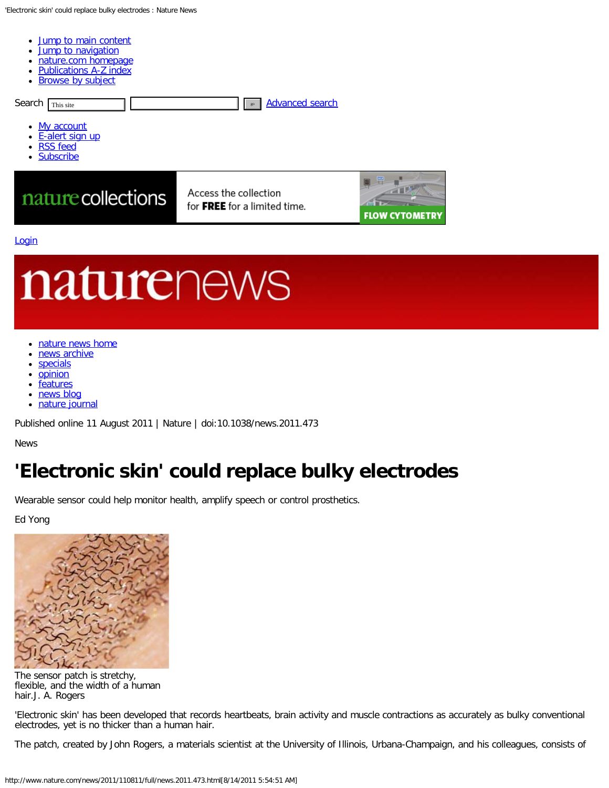<span id="page-0-1"></span><span id="page-0-0"></span>

- **Jump to [navigation](#page-2-1)**
- [nature.com homepage](http://www.nature.com/)
- [Publications](http://www.nature.com/siteindex/) A-Z index
- [Browse](http://www.nature.com/browse/) by subject



#### **[Login](http://www.nature.com/foxtrot/svc/login)**

# naturenews

- [nature news home](http://www.nature.com/news/index.html)
- [news archive](http://www.nature.com/news/archive/date/index.html)
- **[specials](http://www.nature.com/nature/archive/specials.html)**
- **[opinion](http://www.nature.com/news/opinion/index.html)**
- **[features](http://www.nature.com/nature/archive/category.html?code=archive_news_features)**
- [news blog](http://blogs.nature.com/news/thegreatbeyond/)
- [nature journal](http://www.nature.com/nature/)  $\bullet$

Published online 11 August 2011 | Nature | doi:10.1038/news.2011.473

#### News

# **'Electronic skin' could replace bulky electrodes**

Wearable sensor could help monitor health, amplify speech or control prosthetics.

Ed Yong



The sensor patch is stretchy, flexible, and the width of a human hair.J. A. Rogers

'Electronic skin' has been developed that records heartbeats, brain activity and muscle contractions as accurately as bulky conventional electrodes, yet is no thicker than a human hair.

The patch, created by John Rogers, a materials scientist at the University of Illinois, Urbana-Champaign, and his colleagues, consists of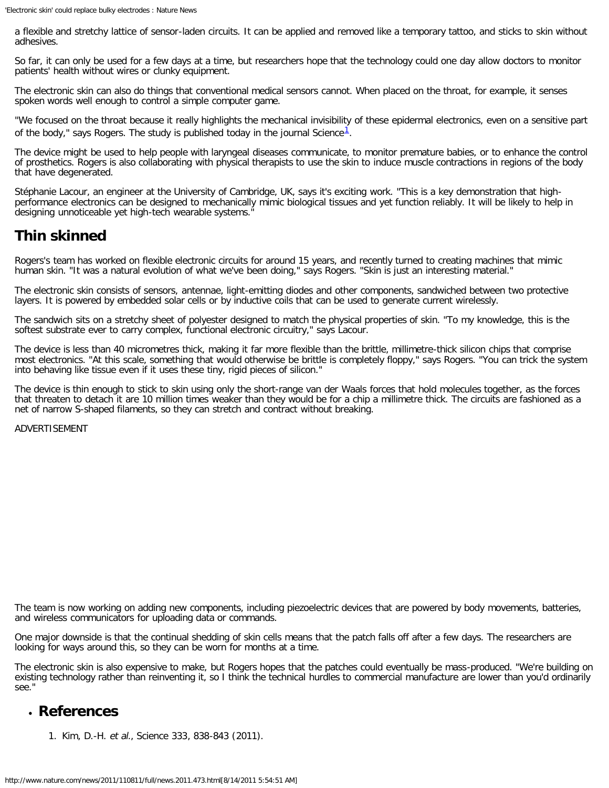a flexible and stretchy lattice of sensor-laden circuits. It can be applied and removed like a temporary tattoo, and sticks to skin without adhesives.

So far, it can only be used for a few days at a time, but researchers hope that the technology could one day allow doctors to monitor patients' health without wires or clunky equipment.

The electronic skin can also do things that conventional medical sensors cannot. When placed on the throat, for example, it senses spoken words well enough to control a simple computer game.

"We focused on the throat because it really highlights the mechanical invisibility of these epidermal electronics, even on a sensitive part of the body," says Rogers. The study is published today in the journal Science<sup>[1](#page-1-0)</sup>.

The device might be used to help people with laryngeal diseases communicate, to monitor premature babies, or to enhance the control of prosthetics. Rogers is also collaborating with physical therapists to use the skin to induce muscle contractions in regions of the body that have degenerated.

Stéphanie Lacour, an engineer at the University of Cambridge, UK, says it's exciting work. "This is a key demonstration that highperformance electronics can be designed to mechanically mimic biological tissues and yet function reliably. It will be likely to help in designing unnoticeable yet high-tech wearable systems."

# **Thin skinned**

Rogers's team has worked on flexible electronic circuits for around 15 years, and recently turned to creating machines that mimic human skin. "It was a natural evolution of what we've been doing," says Rogers. "Skin is just an interesting material."

The electronic skin consists of sensors, antennae, light-emitting diodes and other components, sandwiched between two protective layers. It is powered by embedded solar cells or by inductive coils that can be used to generate current wirelessly.

The sandwich sits on a stretchy sheet of polyester designed to match the physical properties of skin. "To my knowledge, this is the softest substrate ever to carry complex, functional electronic circuitry," says Lacour.

The device is less than 40 micrometres thick, making it far more flexible than the brittle, millimetre-thick silicon chips that comprise most electronics. "At this scale, something that would otherwise be brittle is completely floppy," says Rogers. "You can trick the system into behaving like tissue even if it uses these tiny, rigid pieces of silicon."

The device is thin enough to stick to skin using only the short-range van der Waals forces that hold molecules together, as the forces that threaten to detach it are 10 million times weaker than they would be for a chip a millimetre thick. The circuits are fashioned as a net of narrow S-shaped filaments, so they can stretch and contract without breaking.

ADVERTISEMENT

The team is now working on adding new components, including piezoelectric devices that are powered by body movements, batteries, and wireless communicators for uploading data or commands.

One major downside is that the continual shedding of skin cells means that the patch falls off after a few days. The researchers are looking for ways around this, so they can be worn for months at a time.

The electronic skin is also expensive to make, but Rogers hopes that the patches could eventually be mass-produced. "We're building on existing technology rather than reinventing it, so I think the technical hurdles to commercial manufacture are lower than you'd ordinarily see."

### <span id="page-1-0"></span>**References**

1. Kim, D.-H. et al., Science 333, 838-843 (2011).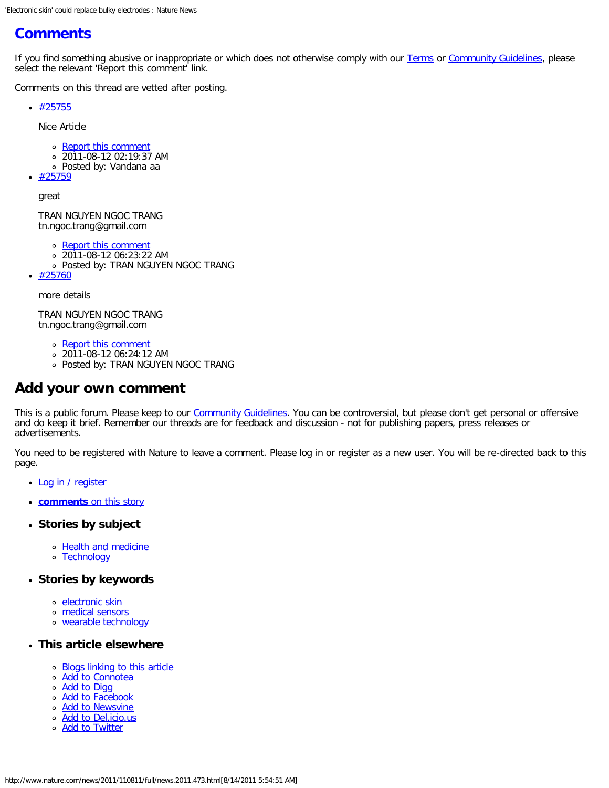# <span id="page-2-2"></span><span id="page-2-0"></span>**[Comments](#page-2-2)**

If you find something abusive or inappropriate or which does not otherwise comply with our [Terms](http://www.nature.com/info/tandc.html) or [Community Guidelines](http://www.nature.com/info/community-guidelines.html), please select the relevant 'Report this comment' link.

Comments on this thread are vetted after posting.

 $*$  [#25755](#page-0-0)

Nice Article

- o [Report this comment](http://www.nature.com/news/report/index.html?comment=25755&doi=10.1038/news.2011.473)
- 2011-08-12 02:19:37 AM
- Posted by: Vandana aa

[#25759](#page-0-0)

great

TRAN NGUYEN NGOC TRANG tn.ngoc.trang@gmail.com

- o [Report this comment](http://www.nature.com/news/report/index.html?comment=25759&doi=10.1038/news.2011.473)
- 2011-08-12 06:23:22 AM
- Posted by: TRAN NGUYEN NGOC TRANG
- $*$  [#25760](#page-0-0)

more details

TRAN NGUYEN NGOC TRANG tn.ngoc.trang@gmail.com

- [Report this comment](http://www.nature.com/news/report/index.html?comment=25760&doi=10.1038/news.2011.473)
- 2011-08-12 06:24:12 AM
- Posted by: TRAN NGUYEN NGOC TRANG

## **Add your own comment**

This is a public forum. Please keep to our [Community Guidelines.](http://www.nature.com/info/community-guidelines.html) You can be controversial, but please don't get personal or offensive and do keep it brief. Remember our threads are for feedback and discussion - not for publishing papers, press releases or advertisements.

You need to be registered with Nature to leave a comment. Please log in or register as a new user. You will be re-directed back to this page.

- [Log in / register](http://www.nature.com/news/login/index.html)
- <span id="page-2-1"></span>**[comments](#page-2-2)** [on this story](#page-2-2)
- **Stories by subject**
	- o [Health and medicine](http://www.nature.com/news/archive/subject/news_s10.html)
	- o [Technology](http://www.nature.com/news/archive/subject/news_s16.html)
- **Stories by keywords**
	- o [electronic skin](http://www.nature.com/news/archive/keyword/electronic+skin.html)
	- o [medical sensors](http://www.nature.com/news/archive/keyword/medical+sensors.html)
	- [wearable technology](http://www.nature.com/news/archive/keyword/wearable+technology.html)
- **This article elsewhere**
	- o [Blogs linking to this article](http://www.technorati.com/search/http://www.nature.com/news/2011/110811/full/news.2011.473.html)
	- o **Add** to Connotea
	- o **[Add to Digg](http://digg.com/submit?phase=2&url=http://www.nature.com/news/2011/110811/full/news.2011.473.html)**
	- o **[Add to Facebook](http://www.facebook.com/sharer.php?u=http://www.nature.com/news/2011/110811/full/news.2011.473.html&t=)**
	- o **[Add to Newsvine](http://www.newsvine.com/_tools/seed?popoff=0&u=http://www.nature.com/news/2011/110811/full/news.2011.473.html)**
	- o [Add to Del.icio.us](http://del.icio.us/post?url=http://www.nature.com/news/2011/110811/full/news.2011.473.html)
	- [Add to Twitter](http://twitter.com/home?status=http://www.nature.com/news/2011/110811/full/news.2011.473.html)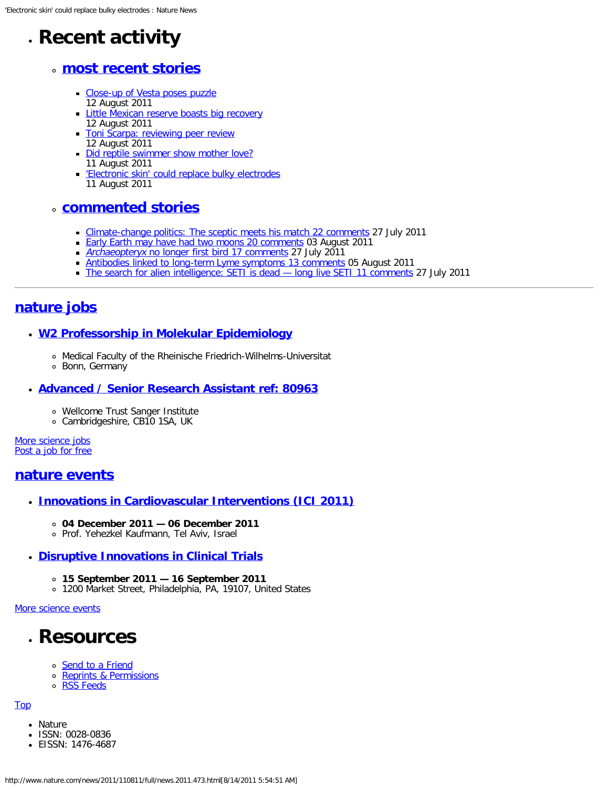# **Recent activity**

## **most recent stories**

- [Close-up of Vesta poses puzzle](http://www.nature.com/news/2011/110812/full/news.2011.480.html) 12 August 2011
- **[Little Mexican reserve boasts big recovery](http://www.nature.com/news/2011/110812/full/news.2011.479.html)** 12 August 2011
- **[Toni Scarpa: reviewing peer review](http://www.nature.com/news/2011/110812/full/news.2011.475.html)** 12 August 2011
- [Did reptile swimmer show mother love?](http://www.nature.com/news/2011/110811/full/news.2011.478.html) 11 August 2011
- ['Electronic skin' could replace bulky electrodes](#page-0-0) 11 August 2011

## **commented stories**

- [Climate-change politics: The sceptic meets his match](http://www.nature.com/news/2011/110727/full/475440a.html) [22 comments](http://www.nature.com/news/2011/110727/full/475440a.html#comments) 27 July 2011
- **[Early Earth may have had two moons](http://www.nature.com/news/2011/110803/full/news.2011.456.html) [20 comments](http://www.nature.com/news/2011/110803/full/news.2011.456.html#comments) 03 August 2011**
- [Archaeopteryx](http://www.nature.com/news/2011/110727/full/news.2011.443.html) [no longer first bird](http://www.nature.com/news/2011/110727/full/news.2011.443.html) [17 comments](http://www.nature.com/news/2011/110727/full/news.2011.443.html#comments) 27 July 2011
- [Antibodies linked to long-term Lyme symptoms](http://www.nature.com/news/2011/110805/full/news.2011.463.html) [13 comments](http://www.nature.com/news/2011/110805/full/news.2011.463.html#comments) 05 August 2011
- [The search for alien intelligence: SETI is dead long live SETI](http://www.nature.com/news/2011/110727/full/475442a.html) [11 comments](http://www.nature.com/news/2011/110727/full/475442a.html#comments) 27 July 2011

# **[nature](http://www.nature.com/naturejobs/) [jobs](http://www.nature.com/naturejobs/)**

#### **[W2 Professorship in Molekular Epidemiology](http://www.nature.com/naturejobs/science/jobs/214847-W2-Professorship-in-Molekular-Epidemiology)**

- Medical Faculty of the Rheinische Friedrich-Wilhelms-Universitat
- Bonn, Germany

#### **[Advanced / Senior Research Assistant ref: 80963](http://www.nature.com/naturejobs/science/jobs/213135-Advanced-Senior-Research-Assistant-ref-80963)**

- Wellcome Trust Sanger Institute
- Cambridgeshire, CB10 1SA, UK

[More science jobs](http://www.nature.com/naturejobs/science/jobs) [Post a job for free](http://www.nature.com/naturejobs/science/jobs/new)

### **[nature](http://www.nature.com/nature-events/index.html) [events](http://www.nature.com/nature-events/index.html)**

- **[Innovations in Cardiovascular Interventions \(ICI 2011\)](http://www.nature.com/natureevents/science/events/11257-Innovations_in_Cardiovascular_Interventions_ICI_2011)**
	- **04 December 2011 06 December 2011**
	- Prof. Yehezkel Kaufmann, Tel Aviv, Israel

#### **[Disruptive Innovations in Clinical Trials](http://www.nature.com/natureevents/science/events/11819-Disruptive_Innovations_in_Clinical_Trials)**

- **15 September 2011 16 September 2011**
- 1200 Market Street, Philadelphia, PA, 19107, United States

#### [More science events](http://www.nature.com/nature-events/index.html)

# **Resources**

- o [Send to a Friend](http://www.nature.com/news/2011/110811/full/news.2011.473/mail/1.html?doi=10.1038/news.2011.473&file=/news/2011/110811/full/news.2011.473.html)
- o [Reprints & Permissions](https://s100.copyright.com/AppDispatchServlet?publisherName=NPG&publication=Nature News&title=&author=Ed Yong&contentID=10.1038/news.2011.473&publicationDate=08/11/2011)
- o [RSS Feeds](http://feeds.nature.com/NatureNewsComment)

#### [Top](#page-0-1)

- Nature
- ISSN: 0028-0836
- EISSN: 1476-4687